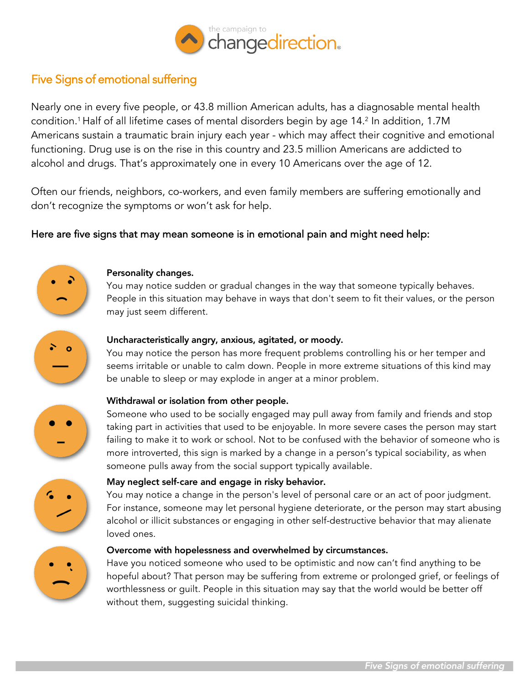

# Five Signs of emotional suffering

Nearly one in every five people, or 43.8 million American adults, has a diagnosable mental health condition.<sup>1</sup>Half of all lifetime cases of mental disorders begin by age 14.<sup>2</sup> In addition, 1.7M Americans sustain a traumatic brain injury each year - which may affect their cognitive and emotional functioning. Drug use is on the rise in this country and 23.5 million Americans are addicted to alcohol and drugs. That's approximately one in every 10 Americans over the age of 12.

Often our friends, neighbors, co-workers, and even family members are suffering emotionally and don't recognize the symptoms or won't ask for help.

# Here are five signs that may mean someone is in emotional pain and might need help:



### Personality changes.

You may notice sudden or gradual changes in the way that someone typically behaves. People in this situation may behave in ways that don't seem to fit their values, or the person may just seem different.



### Uncharacteristically angry, anxious, agitated, or moody.

You may notice the person has more frequent problems controlling his or her temper and seems irritable or unable to calm down. People in more extreme situations of this kind may be unable to sleep or may explode in anger at a minor problem.



#### Withdrawal or isolation from other people.

Someone who used to be socially engaged may pull away from family and friends and stop taking part in activities that used to be enjoyable. In more severe cases the person may start failing to make it to work or school. Not to be confused with the behavior of someone who is more introverted, this sign is marked by a change in a person's typical sociability, as when someone pulls away from the social support typically available.



#### May neglect self-care and engage in risky behavior.

You may notice a change in the person's level of personal care or an act of poor judgment. For instance, someone may let personal hygiene deteriorate, or the person may start abusing alcohol or illicit substances or engaging in other self-destructive behavior that may alienate loved ones.



Have you noticed someone who used to be optimistic and now can't find anything to be hopeful about? That person may be suffering from extreme or prolonged grief, or feelings of worthlessness or guilt. People in this situation may say that the world would be better off without them, suggesting suicidal thinking.